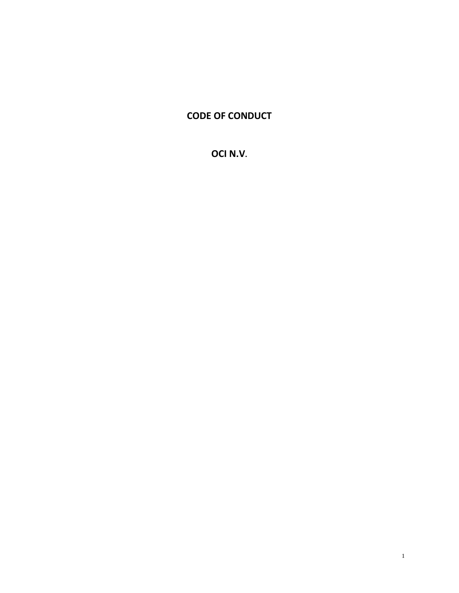# **CODE OF CONDUCT**

**OCI N.V.**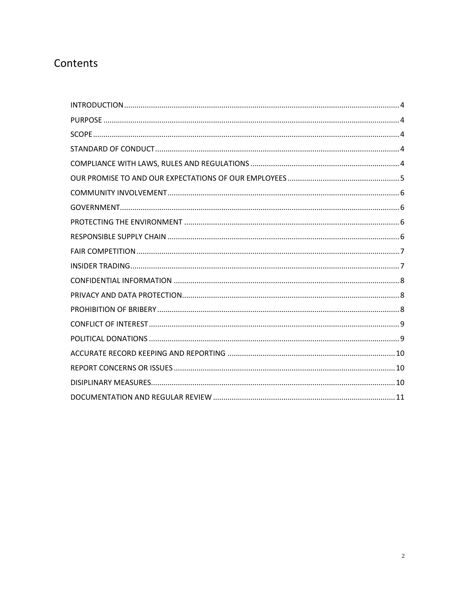# Contents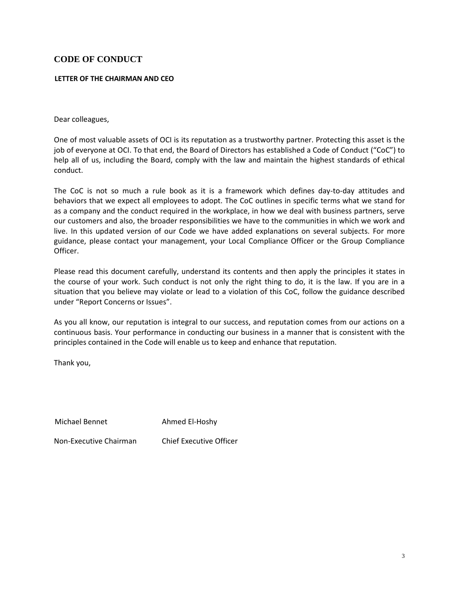# **CODE OF CONDUCT**

#### **LETTER OF THE CHAIRMAN AND CEO**

Dear colleagues,

One of most valuable assets of OCI is its reputation as a trustworthy partner. Protecting this asset is the job of everyone at OCI. To that end, the Board of Directors has established a Code of Conduct ("CoC") to help all of us, including the Board, comply with the law and maintain the highest standards of ethical conduct.

The CoC is not so much a rule book as it is a framework which defines day-to-day attitudes and behaviors that we expect all employees to adopt. The CoC outlines in specific terms what we stand for as a company and the conduct required in the workplace, in how we deal with business partners, serve our customers and also, the broader responsibilities we have to the communities in which we work and live. In this updated version of our Code we have added explanations on several subjects. For more guidance, please contact your management, your Local Compliance Officer or the Group Compliance Officer.

Please read this document carefully, understand its contents and then apply the principles it states in the course of your work. Such conduct is not only the right thing to do, it is the law. If you are in a situation that you believe may violate or lead to a violation of this CoC, follow the guidance described under "Report Concerns or Issues".

As you all know, our reputation is integral to our success, and reputation comes from our actions on a continuous basis. Your performance in conducting our business in a manner that is consistent with the principles contained in the Code will enable us to keep and enhance that reputation.

Thank you,

Michael Bennet Ahmed El-Hoshy

Non-Executive Chairman Chief Executive Officer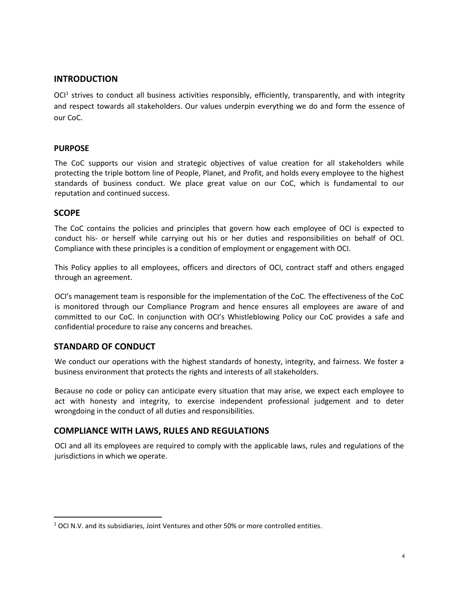# <span id="page-3-0"></span>**INTRODUCTION**

OCI<sup>1</sup> strives to conduct all business activities responsibly, efficiently, transparently, and with integrity and respect towards all stakeholders. Our values underpin everything we do and form the essence of our CoC.

### <span id="page-3-1"></span>**PURPOSE**

The CoC supports our vision and strategic objectives of value creation for all stakeholders while protecting the triple bottom line of People, Planet, and Profit, and holds every employee to the highest standards of business conduct. We place great value on our CoC, which is fundamental to our reputation and continued success.

## <span id="page-3-2"></span>**SCOPE**

The CoC contains the policies and principles that govern how each employee of OCI is expected to conduct his- or herself while carrying out his or her duties and responsibilities on behalf of OCI. Compliance with these principles is a condition of employment or engagement with OCI.

This Policy applies to all employees, officers and directors of OCI, contract staff and others engaged through an agreement.

OCI's management team is responsible for the implementation of the CoC. The effectiveness of the CoC is monitored through our Compliance Program and hence ensures all employees are aware of and committed to our CoC. In conjunction with OCI's Whistleblowing Policy our CoC provides a safe and confidential procedure to raise any concerns and breaches.

# <span id="page-3-3"></span>**STANDARD OF CONDUCT**

We conduct our operations with the highest standards of honesty, integrity, and fairness. We foster a business environment that protects the rights and interests of all stakeholders.

Because no code or policy can anticipate every situation that may arise, we expect each employee to act with honesty and integrity, to exercise independent professional judgement and to deter wrongdoing in the conduct of all duties and responsibilities.

## <span id="page-3-4"></span>**COMPLIANCE WITH LAWS, RULES AND REGULATIONS**

OCI and all its employees are required to comply with the applicable laws, rules and regulations of the jurisdictions in which we operate.

 $1$  OCI N.V. and its subsidiaries, Joint Ventures and other 50% or more controlled entities.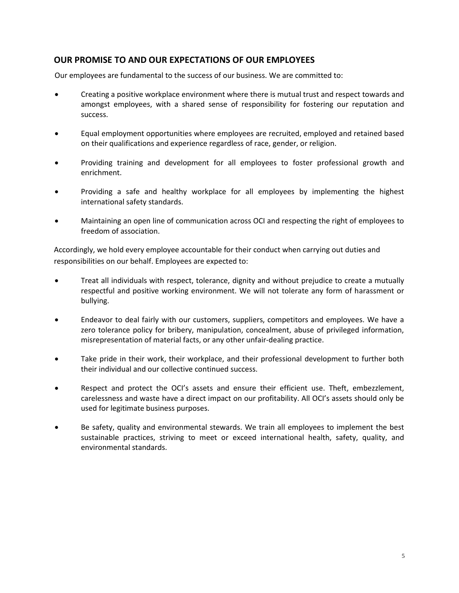# <span id="page-4-0"></span>**OUR PROMISE TO AND OUR EXPECTATIONS OF OUR EMPLOYEES**

Our employees are fundamental to the success of our business. We are committed to:

- Creating a positive workplace environment where there is mutual trust and respect towards and amongst employees, with a shared sense of responsibility for fostering our reputation and success.
- Equal employment opportunities where employees are recruited, employed and retained based on their qualifications and experience regardless of race, gender, or religion.
- Providing training and development for all employees to foster professional growth and enrichment.
- Providing a safe and healthy workplace for all employees by implementing the highest international safety standards.
- Maintaining an open line of communication across OCI and respecting the right of employees to freedom of association.

Accordingly, we hold every employee accountable for their conduct when carrying out duties and responsibilities on our behalf. Employees are expected to:

- Treat all individuals with respect, tolerance, dignity and without prejudice to create a mutually respectful and positive working environment. We will not tolerate any form of harassment or bullying.
- Endeavor to deal fairly with our customers, suppliers, competitors and employees. We have a zero tolerance policy for bribery, manipulation, concealment, abuse of privileged information, misrepresentation of material facts, or any other unfair-dealing practice.
- Take pride in their work, their workplace, and their professional development to further both their individual and our collective continued success.
- Respect and protect the OCI's assets and ensure their efficient use. Theft, embezzlement, carelessness and waste have a direct impact on our profitability. All OCI's assets should only be used for legitimate business purposes.
- Be safety, quality and environmental stewards. We train all employees to implement the best sustainable practices, striving to meet or exceed international health, safety, quality, and environmental standards.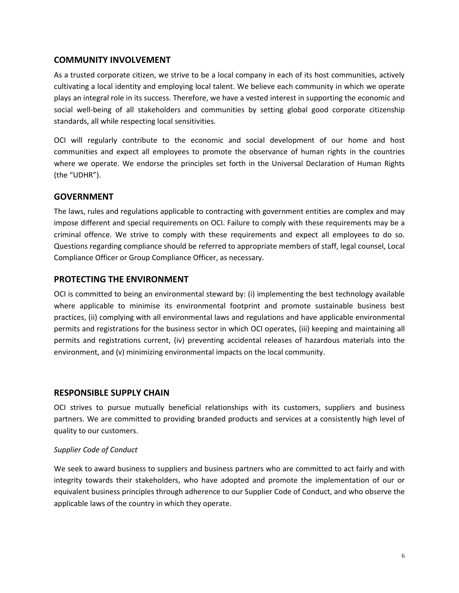# <span id="page-5-0"></span>**COMMUNITY INVOLVEMENT**

As a trusted corporate citizen, we strive to be a local company in each of its host communities, actively cultivating a local identity and employing local talent. We believe each community in which we operate plays an integral role in its success. Therefore, we have a vested interest in supporting the economic and social well-being of all stakeholders and communities by setting global good corporate citizenship standards, all while respecting local sensitivities.

OCI will regularly contribute to the economic and social development of our home and host communities and expect all employees to promote the observance of human rights in the countries where we operate. We endorse the principles set forth in the Universal Declaration of Human Rights (the "UDHR").

# <span id="page-5-1"></span>**GOVERNMENT**

The laws, rules and regulations applicable to contracting with government entities are complex and may impose different and special requirements on OCI. Failure to comply with these requirements may be a criminal offence. We strive to comply with these requirements and expect all employees to do so. Questions regarding compliance should be referred to appropriate members of staff, legal counsel, Local Compliance Officer or Group Compliance Officer, as necessary.

## <span id="page-5-2"></span>**PROTECTING THE ENVIRONMENT**

OCI is committed to being an environmental steward by: (i) implementing the best technology available where applicable to minimise its environmental footprint and promote sustainable business best practices, (ii) complying with all environmental laws and regulations and have applicable environmental permits and registrations for the business sector in which OCI operates, (iii) keeping and maintaining all permits and registrations current, (iv) preventing accidental releases of hazardous materials into the environment, and (v) minimizing environmental impacts on the local community.

## <span id="page-5-3"></span>**RESPONSIBLE SUPPLY CHAIN**

OCI strives to pursue mutually beneficial relationships with its customers, suppliers and business partners. We are committed to providing branded products and services at a consistently high level of quality to our customers.

## *Supplier Code of Conduct*

We seek to award business to suppliers and business partners who are committed to act fairly and with integrity towards their stakeholders, who have adopted and promote the implementation of our or equivalent business principles through adherence to our Supplier Code of Conduct, and who observe the applicable laws of the country in which they operate.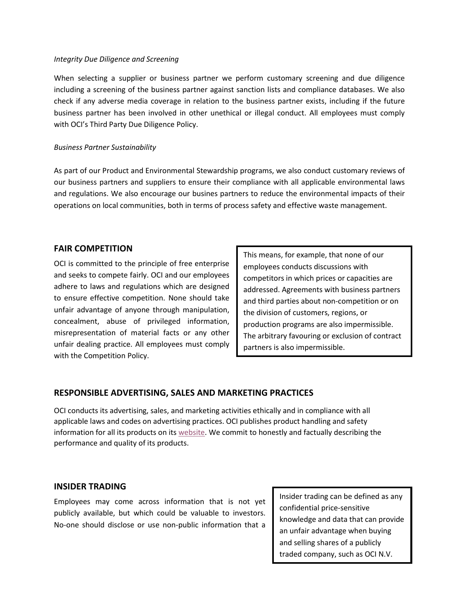#### *Integrity Due Diligence and Screening*

When selecting a supplier or business partner we perform customary screening and due diligence including a screening of the business partner against sanction lists and compliance databases. We also check if any adverse media coverage in relation to the business partner exists, including if the future business partner has been involved in other unethical or illegal conduct. All employees must comply with OCI's Third Party Due Diligence Policy.

#### *Business Partner Sustainability*

As part of our Product and Environmental Stewardship programs, we also conduct customary reviews of our business partners and suppliers to ensure their compliance with all applicable environmental laws and regulations. We also encourage our busines partners to reduce the environmental impacts of their operations on local communities, both in terms of process safety and effective waste management.

### <span id="page-6-0"></span>**FAIR COMPETITION**

OCI is committed to the principle of free enterprise and seeks to compete fairly. OCI and our employees adhere to laws and regulations which are designed to ensure effective competition. None should take unfair advantage of anyone through manipulation, concealment, abuse of privileged information, misrepresentation of material facts or any other unfair dealing practice. All employees must comply with the Competition Policy.

This means, for example, that none of our employees conducts discussions with competitors in which prices or capacities are addressed. Agreements with business partners and third parties about non-competition or on the division of customers, regions, or production programs are also impermissible. The arbitrary favouring or exclusion of contract partners is also impermissible.

## **RESPONSIBLE ADVERTISING, SALES AND MARKETING PRACTICES**

OCI conducts its advertising, sales, and marketing activities ethically and in compliance with all applicable laws and codes on advertising practices. OCI publishes product handling and safety information for all its products on its [website.](https://www.oci.nl/operations/our-products/) We commit to honestly and factually describing the performance and quality of its products.

#### <span id="page-6-1"></span>**INSIDER TRADING**

Employees may come across information that is not yet publicly available, but which could be valuable to investors. No-one should disclose or use non-public information that a

Insider trading can be defined as any confidential price-sensitive knowledge and data that can provide an unfair advantage when buying and selling shares of a publicly traded company, such as OCI N.V.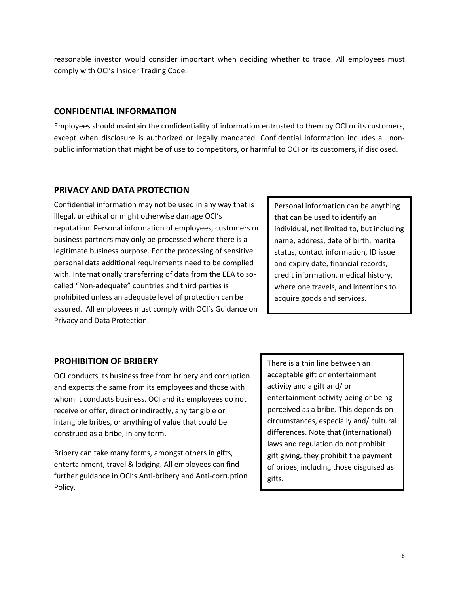reasonable investor would consider important when deciding whether to trade. All employees must comply with OCI's Insider Trading Code.

# <span id="page-7-0"></span>**CONFIDENTIAL INFORMATION**

Employees should maintain the confidentiality of information entrusted to them by OCI or its customers, except when disclosure is authorized or legally mandated. Confidential information includes all nonpublic information that might be of use to competitors, or harmful to OCI or its customers, if disclosed.

# <span id="page-7-1"></span>**PRIVACY AND DATA PROTECTION**

Confidential information may not be used in any way that is illegal, unethical or might otherwise damage OCI's reputation. Personal information of employees, customers or business partners may only be processed where there is a legitimate business purpose. For the processing of sensitive personal data additional requirements need to be complied with. Internationally transferring of data from the EEA to socalled "Non-adequate" countries and third parties is prohibited unless an adequate level of protection can be assured. All employees must comply with OCI's Guidance on Privacy and Data Protection.

Personal information can be anything that can be used to identify an individual, not limited to, but including name, address, date of birth, marital status, contact information, ID issue and expiry date, financial records, credit information, medical history, where one travels, and intentions to acquire goods and services.

# <span id="page-7-2"></span>**PROHIBITION OF BRIBERY**

OCI conducts its business free from bribery and corruption and expects the same from its employees and those with whom it conducts business. OCI and its employees do not receive or offer, direct or indirectly, any tangible or intangible bribes, or anything of value that could be construed as a bribe, in any form.

Bribery can take many forms, amongst others in gifts, entertainment, travel & lodging. All employees can find further guidance in OCI's Anti-bribery and Anti-corruption Policy.

There is a thin line between an acceptable gift or entertainment activity and a gift and/ or entertainment activity being or being perceived as a bribe. This depends on circumstances, especially and/ cultural differences. Note that (international) laws and regulation do not prohibit gift giving, they prohibit the payment of bribes, including those disguised as gifts.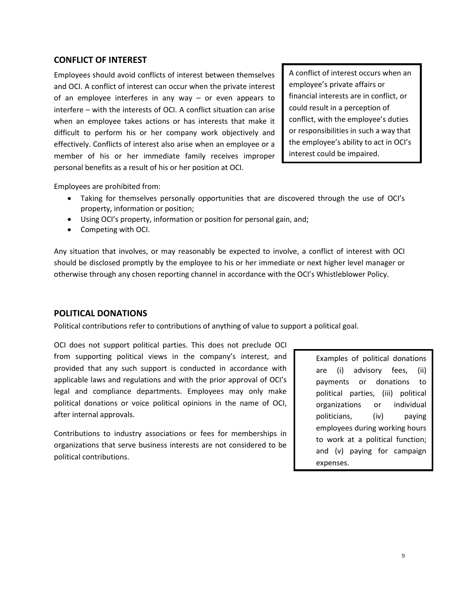# <span id="page-8-0"></span>**CONFLICT OF INTEREST**

Employees should avoid conflicts of interest between themselves and OCI. A conflict of interest can occur when the private interest of an employee interferes in any way – or even appears to interfere – with the interests of OCI. A conflict situation can arise when an employee takes actions or has interests that make it difficult to perform his or her company work objectively and effectively. Conflicts of interest also arise when an employee or a member of his or her immediate family receives improper personal benefits as a result of his or her position at OCI.

A conflict of interest occurs when an employee's private affairs or financial interests are in conflict, or could result in a perception of conflict, with the employee's duties or responsibilities in such a way that the employee's ability to act in OCI's interest could be impaired.

Employees are prohibited from:

- Taking for themselves personally opportunities that are discovered through the use of OCI's property, information or position;
- Using OCI's property, information or position for personal gain, and;
- Competing with OCI.

Any situation that involves, or may reasonably be expected to involve, a conflict of interest with OCI should be disclosed promptly by the employee to his or her immediate or next higher level manager or otherwise through any chosen reporting channel in accordance with the OCI's Whistleblower Policy.

## <span id="page-8-1"></span>**POLITICAL DONATIONS**

Political contributions refer to contributions of anything of value to support a political goal.

OCI does not support political parties. This does not preclude OCI from supporting political views in the company's interest, and provided that any such support is conducted in accordance with applicable laws and regulations and with the prior approval of OCI's legal and compliance departments. Employees may only make political donations or voice political opinions in the name of OCI, after internal approvals.

Contributions to industry associations or fees for memberships in organizations that serve business interests are not considered to be political contributions.

Examples of political donations are (i) advisory fees, (ii) payments or donations to political parties, (iii) political organizations or individual politicians, (iv) paying employees during working hours to work at a political function; and (v) paying for campaign expenses.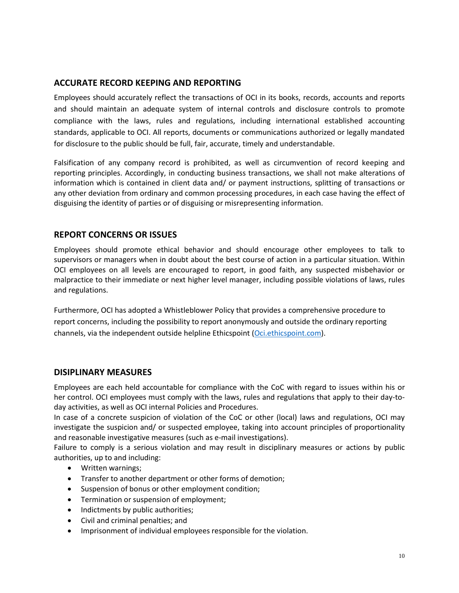# <span id="page-9-0"></span>**ACCURATE RECORD KEEPING AND REPORTING**

Employees should accurately reflect the transactions of OCI in its books, records, accounts and reports and should maintain an adequate system of internal controls and disclosure controls to promote compliance with the laws, rules and regulations, including international established accounting standards, applicable to OCI. All reports, documents or communications authorized or legally mandated for disclosure to the public should be full, fair, accurate, timely and understandable.

Falsification of any company record is prohibited, as well as circumvention of record keeping and reporting principles. Accordingly, in conducting business transactions, we shall not make alterations of information which is contained in client data and/ or payment instructions, splitting of transactions or any other deviation from ordinary and common processing procedures, in each case having the effect of disguising the identity of parties or of disguising or misrepresenting information.

# <span id="page-9-1"></span>**REPORT CONCERNS OR ISSUES**

Employees should promote ethical behavior and should encourage other employees to talk to supervisors or managers when in doubt about the best course of action in a particular situation. Within OCI employees on all levels are encouraged to report, in good faith, any suspected misbehavior or malpractice to their immediate or next higher level manager, including possible violations of laws, rules and regulations.

Furthermore, OCI has adopted a Whistleblower Policy that provides a comprehensive procedure to report concerns, including the possibility to report anonymously and outside the ordinary reporting channels, via the independent outside helpline Ethicspoint [\(Oci.ethicspoint.com\)](https://secure.ethicspoint.eu/domain/media/en/gui/106386/index.html).

## <span id="page-9-2"></span>**DISIPLINARY MEASURES**

Employees are each held accountable for compliance with the CoC with regard to issues within his or her control. OCI employees must comply with the laws, rules and regulations that apply to their day-today activities, as well as OCI internal Policies and Procedures.

In case of a concrete suspicion of violation of the CoC or other (local) laws and regulations, OCI may investigate the suspicion and/ or suspected employee, taking into account principles of proportionality and reasonable investigative measures (such as e-mail investigations).

Failure to comply is a serious violation and may result in disciplinary measures or actions by public authorities, up to and including:

- Written warnings;
- Transfer to another department or other forms of demotion;
- Suspension of bonus or other employment condition;
- Termination or suspension of employment;
- Indictments by public authorities;
- Civil and criminal penalties; and
- Imprisonment of individual employees responsible for the violation.